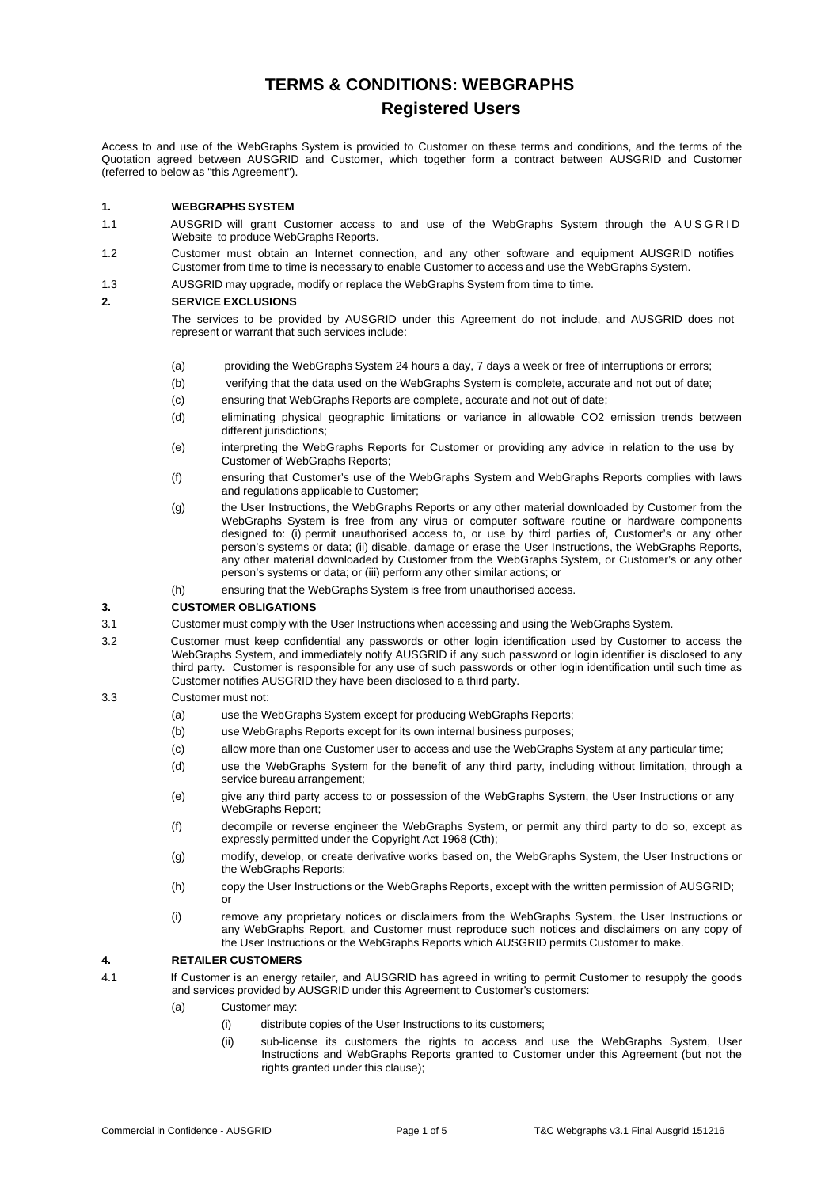# **TERMS & CONDITIONS: WEBGRAPHS Registered Users**

Access to and use of the WebGraphs System is provided to Customer on these terms and conditions, and the terms of the Quotation agreed between AUSGRID and Customer, which together form a contract between AUSGRID and Customer (referred to below as "this Agreement").

# **1. WEBGRAPHS SYSTEM**

- 1.1 AUSGRID will grant Customer access to and use of the WebGraphs System through the AUSGRID Website to produce WebGraphs Reports.
- 1.2 Customer must obtain an Internet connection, and any other software and equipment AUSGRID notifies Customer from time to time is necessary to enable Customer to access and use the WebGraphs System.
- 1.3 AUSGRID may upgrade, modify or replace the WebGraphs System from time to time.

# **2. SERVICE EXCLUSIONS**

The services to be provided by AUSGRID under this Agreement do not include, and AUSGRID does not represent or warrant that such services include:

- (a) providing the WebGraphs System 24 hours a day, 7 days a week or free of interruptions or errors;
- (b) verifying that the data used on the WebGraphs System is complete, accurate and not out of date;
- (c) ensuring that WebGraphs Reports are complete, accurate and not out of date;
- (d) eliminating physical geographic limitations or variance in allowable CO2 emission trends between different jurisdictions;
- (e) interpreting the WebGraphs Reports for Customer or providing any advice in relation to the use by Customer of WebGraphs Reports;
- (f) ensuring that Customer's use of the WebGraphs System and WebGraphs Reports complies with laws and regulations applicable to Customer;
- (g) the User Instructions, the WebGraphs Reports or any other material downloaded by Customer from the WebGraphs System is free from any virus or computer software routine or hardware components designed to: (i) permit unauthorised access to, or use by third parties of, Customer's or any other person's systems or data; (ii) disable, damage or erase the User Instructions, the WebGraphs Reports, any other material downloaded by Customer from the WebGraphs System, or Customer's or any other person's systems or data; or (iii) perform any other similar actions; or
- (h) ensuring that the WebGraphs System is free from unauthorised access.

## **3. CUSTOMER OBLIGATIONS**

- 3.1 Customer must comply with the User Instructions when accessing and using the WebGraphs System.
- 3.2 Customer must keep confidential any passwords or other login identification used by Customer to access the WebGraphs System, and immediately notify AUSGRID if any such password or login identifier is disclosed to any third party. Customer is responsible for any use of such passwords or other login identification until such time as Customer notifies AUSGRID they have been disclosed to a third party.
- 3.3 Customer must not:
	- (a) use the WebGraphs System except for producing WebGraphs Reports;
	- (b) use WebGraphs Reports except for its own internal business purposes;
	- (c) allow more than one Customer user to access and use the WebGraphs System at any particular time;
	- (d) use the WebGraphs System for the benefit of any third party, including without limitation, through a service bureau arrangement;
	- (e) give any third party access to or possession of the WebGraphs System, the User Instructions or any WebGraphs Report;
	- (f) decompile or reverse engineer the WebGraphs System, or permit any third party to do so, except as expressly permitted under the Copyright Act 1968 (Cth);
	- (g) modify, develop, or create derivative works based on, the WebGraphs System, the User Instructions or the WebGraphs Reports;
	- (h) copy the User Instructions or the WebGraphs Reports, except with the written permission of AUSGRID; or
	- (i) remove any proprietary notices or disclaimers from the WebGraphs System, the User Instructions or any WebGraphs Report, and Customer must reproduce such notices and disclaimers on any copy of the User Instructions or the WebGraphs Reports which AUSGRID permits Customer to make.

## **4. RETAILER CUSTOMERS**

- 4.1 If Customer is an energy retailer, and AUSGRID has agreed in writing to permit Customer to resupply the goods and services provided by AUSGRID under this Agreement to Customer's customers:
	- (a) Customer may:
		- (i) distribute copies of the User Instructions to its customers;
		- (ii) sub-license its customers the rights to access and use the WebGraphs System, User Instructions and WebGraphs Reports granted to Customer under this Agreement (but not the rights granted under this clause);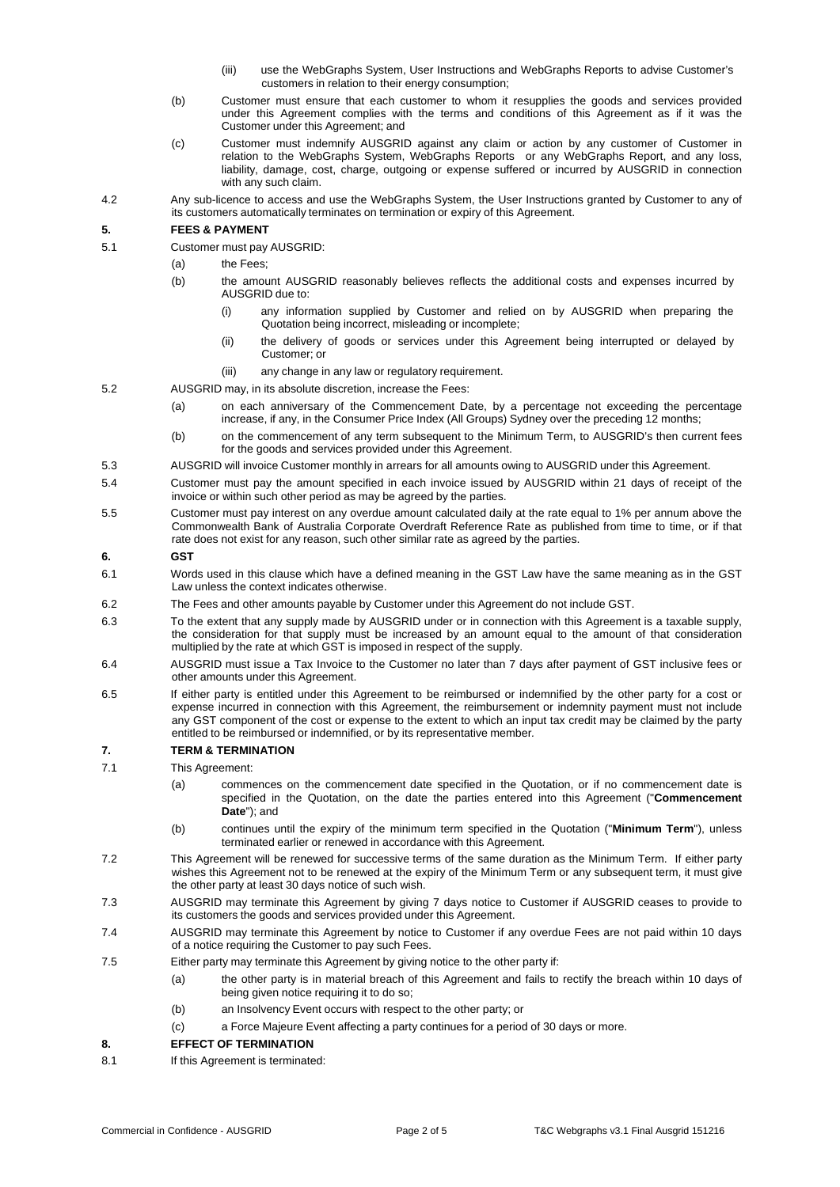- (iii) use the WebGraphs System, User Instructions and WebGraphs Reports to advise Customer's customers in relation to their energy consumption;
- (b) Customer must ensure that each customer to whom it resupplies the goods and services provided under this Agreement complies with the terms and conditions of this Agreement as if it was the Customer under this Agreement; and
- (c) Customer must indemnify AUSGRID against any claim or action by any customer of Customer in relation to the WebGraphs System, WebGraphs Reports or any WebGraphs Report, and any loss, liability, damage, cost, charge, outgoing or expense suffered or incurred by AUSGRID in connection with any such claim.
- 4.2 Any sub-licence to access and use the WebGraphs System, the User Instructions granted by Customer to any of its customers automatically terminates on termination or expiry of this Agreement.

# **5. FEES & PAYMENT**

- 5.1 Customer must pay AUSGRID:
	- (a) the Fees;
	- (b) the amount AUSGRID reasonably believes reflects the additional costs and expenses incurred by AUSGRID due to:
		- (i) any information supplied by Customer and relied on by AUSGRID when preparing the Quotation being incorrect, misleading or incomplete;
		- (ii) the delivery of goods or services under this Agreement being interrupted or delayed by Customer; or
		- (iii) any change in any law or regulatory requirement.
- 5.2 AUSGRID may, in its absolute discretion, increase the Fees:
	- (a) on each anniversary of the Commencement Date, by a percentage not exceeding the percentage increase, if any, in the Consumer Price Index (All Groups) Sydney over the preceding 12 months;
	- (b) on the commencement of any term subsequent to the Minimum Term, to AUSGRID's then current fees for the goods and services provided under this Agreement.
- 5.3 AUSGRID will invoice Customer monthly in arrears for all amounts owing to AUSGRID under this Agreement.
- 5.4 Customer must pay the amount specified in each invoice issued by AUSGRID within 21 days of receipt of the invoice or within such other period as may be agreed by the parties.
- 5.5 Customer must pay interest on any overdue amount calculated daily at the rate equal to 1% per annum above the Commonwealth Bank of Australia Corporate Overdraft Reference Rate as published from time to time, or if that rate does not exist for any reason, such other similar rate as agreed by the parties.

## **6. GST**

- 6.1 Words used in this clause which have a defined meaning in the GST Law have the same meaning as in the GST Law unless the context indicates otherwise.
- 6.2 The Fees and other amounts payable by Customer under this Agreement do not include GST.
- 6.3 To the extent that any supply made by AUSGRID under or in connection with this Agreement is a taxable supply, the consideration for that supply must be increased by an amount equal to the amount of that consideration multiplied by the rate at which GST is imposed in respect of the supply.
- 6.4 AUSGRID must issue a Tax Invoice to the Customer no later than 7 days after payment of GST inclusive fees or other amounts under this Agreement.
- 6.5 If either party is entitled under this Agreement to be reimbursed or indemnified by the other party for a cost or expense incurred in connection with this Agreement, the reimbursement or indemnity payment must not include any GST component of the cost or expense to the extent to which an input tax credit may be claimed by the party entitled to be reimbursed or indemnified, or by its representative member*.*

# **7. TERM & TERMINATION**

- 7.1 This Agreement:
	- (a) commences on the commencement date specified in the Quotation, or if no commencement date is specified in the Quotation, on the date the parties entered into this Agreement ("**Commencement Date**"); and
	- (b) continues until the expiry of the minimum term specified in the Quotation ("**Minimum Term**"), unless terminated earlier or renewed in accordance with this Agreement.
- 7.2 This Agreement will be renewed for successive terms of the same duration as the Minimum Term. If either party wishes this Agreement not to be renewed at the expiry of the Minimum Term or any subsequent term, it must give the other party at least 30 days notice of such wish.
- 7.3 AUSGRID may terminate this Agreement by giving 7 days notice to Customer if AUSGRID ceases to provide to its customers the goods and services provided under this Agreement.
- 7.4 AUSGRID may terminate this Agreement by notice to Customer if any overdue Fees are not paid within 10 days of a notice requiring the Customer to pay such Fees.
- 7.5 Either party may terminate this Agreement by giving notice to the other party if:
	- (a) the other party is in material breach of this Agreement and fails to rectify the breach within 10 days of being given notice requiring it to do so;
	- (b) an Insolvency Event occurs with respect to the other party; or
	- (c) a Force Majeure Event affecting a party continues for a period of 30 days or more.

# **8. EFFECT OF TERMINATION**

8.1 If this Agreement is terminated: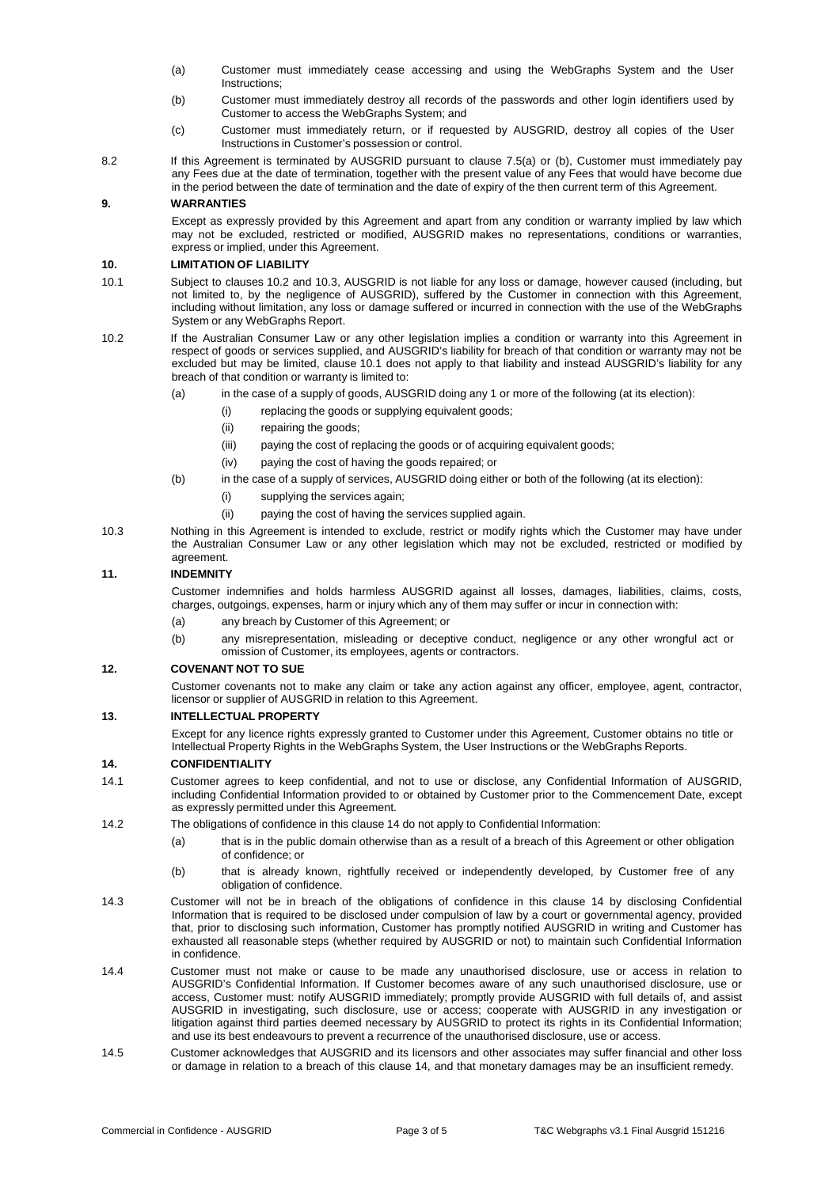- (a) Customer must immediately cease accessing and using the WebGraphs System and the User Instructions;
- (b) Customer must immediately destroy all records of the passwords and other login identifiers used by Customer to access the WebGraphs System; and
- (c) Customer must immediately return, or if requested by AUSGRID, destroy all copies of the User Instructions in Customer's possession or control.
- 8.2 If this Agreement is terminated by AUSGRID pursuant to clause 7.5(a) or (b), Customer must immediately pay any Fees due at the date of termination, together with the present value of any Fees that would have become due in the period between the date of termination and the date of expiry of the then current term of this Agreement.

# **9. WARRANTIES**

Except as expressly provided by this Agreement and apart from any condition or warranty implied by law which may not be excluded, restricted or modified, AUSGRID makes no representations, conditions or warranties, express or implied, under this Agreement.

## **10. LIMITATION OF LIABILITY**

- 10.1 Subject to clauses 10.2 and 10.3, AUSGRID is not liable for any loss or damage, however caused (including, but not limited to, by the negligence of AUSGRID), suffered by the Customer in connection with this Agreement, including without limitation, any loss or damage suffered or incurred in connection with the use of the WebGraphs System or any WebGraphs Report.
- 10.2 If the Australian Consumer Law or any other legislation implies a condition or warranty into this Agreement in respect of goods or services supplied, and AUSGRID's liability for breach of that condition or warranty may not be excluded but may be limited, clause 10.1 does not apply to that liability and instead AUSGRID's liability for any breach of that condition or warranty is limited to:
	- (a) in the case of a supply of goods, AUSGRID doing any 1 or more of the following (at its election):
		- (i) replacing the goods or supplying equivalent goods;
			- (ii) repairing the goods;
		- (iii) paying the cost of replacing the goods or of acquiring equivalent goods;
		- (iv) paying the cost of having the goods repaired; or
	- (b) in the case of a supply of services, AUSGRID doing either or both of the following (at its election):
		- (i) supplying the services again;
		- (ii) paying the cost of having the services supplied again.
- 10.3 Nothing in this Agreement is intended to exclude, restrict or modify rights which the Customer may have under the Australian Consumer Law or any other legislation which may not be excluded, restricted or modified by agreement.

# **11. INDEMNITY**

Customer indemnifies and holds harmless AUSGRID against all losses, damages, liabilities, claims, costs, charges, outgoings, expenses, harm or injury which any of them may suffer or incur in connection with:

- (a) any breach by Customer of this Agreement; or
- (b) any misrepresentation, misleading or deceptive conduct, negligence or any other wrongful act or omission of Customer, its employees, agents or contractors.

## **12. COVENANT NOT TO SUE**

Customer covenants not to make any claim or take any action against any officer, employee, agent, contractor, licensor or supplier of AUSGRID in relation to this Agreement.

## **13. INTELLECTUAL PROPERTY**

Except for any licence rights expressly granted to Customer under this Agreement, Customer obtains no title or Intellectual Property Rights in the WebGraphs System, the User Instructions or the WebGraphs Reports.

# **14. CONFIDENTIALITY**

- 14.1 Customer agrees to keep confidential, and not to use or disclose, any Confidential Information of AUSGRID, including Confidential Information provided to or obtained by Customer prior to the Commencement Date, except as expressly permitted under this Agreement.
- 14.2 The obligations of confidence in this clause 14 do not apply to Confidential Information:
	- (a) that is in the public domain otherwise than as a result of a breach of this Agreement or other obligation of confidence; or
	- (b) that is already known, rightfully received or independently developed, by Customer free of any obligation of confidence.
- 14.3 Customer will not be in breach of the obligations of confidence in this clause 14 by disclosing Confidential Information that is required to be disclosed under compulsion of law by a court or governmental agency, provided that, prior to disclosing such information, Customer has promptly notified AUSGRID in writing and Customer has exhausted all reasonable steps (whether required by AUSGRID or not) to maintain such Confidential Information in confidence.
- 14.4 Customer must not make or cause to be made any unauthorised disclosure, use or access in relation to AUSGRID's Confidential Information. If Customer becomes aware of any such unauthorised disclosure, use or access, Customer must: notify AUSGRID immediately; promptly provide AUSGRID with full details of, and assist AUSGRID in investigating, such disclosure, use or access; cooperate with AUSGRID in any investigation or litigation against third parties deemed necessary by AUSGRID to protect its rights in its Confidential Information; and use its best endeavours to prevent a recurrence of the unauthorised disclosure, use or access.
- 14.5 Customer acknowledges that AUSGRID and its licensors and other associates may suffer financial and other loss or damage in relation to a breach of this clause 14, and that monetary damages may be an insufficient remedy.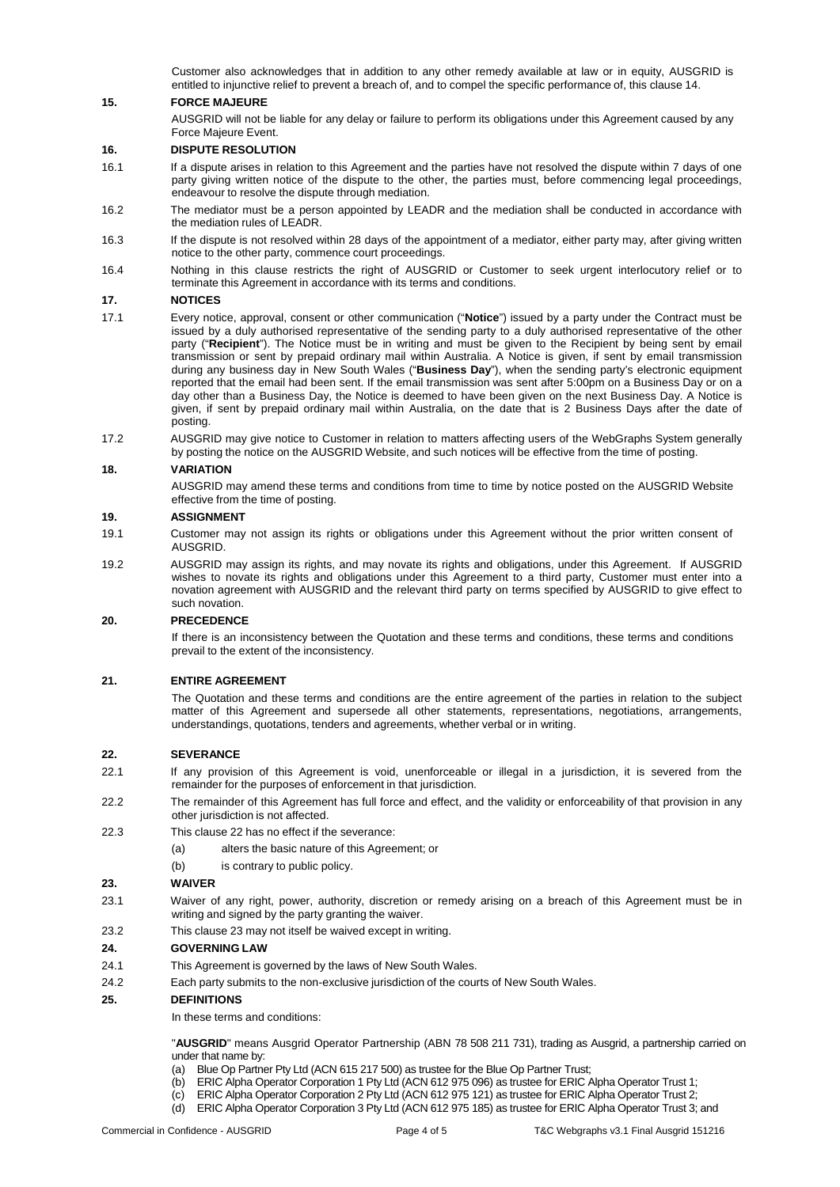Customer also acknowledges that in addition to any other remedy available at law or in equity, AUSGRID is entitled to injunctive relief to prevent a breach of, and to compel the specific performance of, this clause 14.

# **15. FORCE MAJEURE**

AUSGRID will not be liable for any delay or failure to perform its obligations under this Agreement caused by any Force Majeure Event.

### **16. DISPUTE RESOLUTION**

- 16.1 If a dispute arises in relation to this Agreement and the parties have not resolved the dispute within 7 days of one party giving written notice of the dispute to the other, the parties must, before commencing legal proceedings, endeavour to resolve the dispute through mediation.
- 16.2 The mediator must be a person appointed by LEADR and the mediation shall be conducted in accordance with the mediation rules of LEADR.
- 16.3 If the dispute is not resolved within 28 days of the appointment of a mediator, either party may, after giving written notice to the other party, commence court proceedings.
- 16.4 Nothing in this clause restricts the right of AUSGRID or Customer to seek urgent interlocutory relief or to terminate this Agreement in accordance with its terms and conditions.

#### **17. NOTICES**

- 17.1 Every notice, approval, consent or other communication ("**Notice**") issued by a party under the Contract must be issued by a duly authorised representative of the sending party to a duly authorised representative of the other party ("**Recipient**"). The Notice must be in writing and must be given to the Recipient by being sent by email transmission or sent by prepaid ordinary mail within Australia. A Notice is given, if sent by email transmission during any business day in New South Wales ("**Business Day**"), when the sending party's electronic equipment reported that the email had been sent. If the email transmission was sent after 5:00pm on a Business Day or on a day other than a Business Day, the Notice is deemed to have been given on the next Business Day. A Notice is given, if sent by prepaid ordinary mail within Australia, on the date that is 2 Business Days after the date of posting.
- 17.2 AUSGRID may give notice to Customer in relation to matters affecting users of the WebGraphs System generally by posting the notice on the AUSGRID Website, and such notices will be effective from the time of posting.

#### **18. VARIATION**

AUSGRID may amend these terms and conditions from time to time by notice posted on the AUSGRID Website effective from the time of posting.

#### **19. ASSIGNMENT**

- 19.1 Customer may not assign its rights or obligations under this Agreement without the prior written consent of AUSGRID.
- 19.2 AUSGRID may assign its rights, and may novate its rights and obligations, under this Agreement. If AUSGRID wishes to novate its rights and obligations under this Agreement to a third party, Customer must enter into a novation agreement with AUSGRID and the relevant third party on terms specified by AUSGRID to give effect to such novation.

#### **20. PRECEDENCE**

If there is an inconsistency between the Quotation and these terms and conditions, these terms and conditions prevail to the extent of the inconsistency.

#### **21. ENTIRE AGREEMENT**

The Quotation and these terms and conditions are the entire agreement of the parties in relation to the subject matter of this Agreement and supersede all other statements, representations, negotiations, arrangements, understandings, quotations, tenders and agreements, whether verbal or in writing.

#### **22. SEVERANCE**

- 22.1 If any provision of this Agreement is void, unenforceable or illegal in a jurisdiction, it is severed from the remainder for the purposes of enforcement in that jurisdiction.
- 22.2 The remainder of this Agreement has full force and effect, and the validity or enforceability of that provision in any other jurisdiction is not affected.
- 22.3 This clause 22 has no effect if the severance:
	- (a) alters the basic nature of this Agreement; or
	- (b) is contrary to public policy.

#### **23. WAIVER**

- 23.1 Waiver of any right, power, authority, discretion or remedy arising on a breach of this Agreement must be in writing and signed by the party granting the waiver.
- 23.2 This clause 23 may not itself be waived except in writing.

#### **24. GOVERNING LAW**

- 24.1 This Agreement is governed by the laws of New South Wales.
- 24.2 Each party submits to the non-exclusive jurisdiction of the courts of New South Wales.

#### **25. DEFINITIONS**

In these terms and conditions:

"**AUSGRID**" means Ausgrid Operator Partnership (ABN 78 508 211 731), trading as Ausgrid, a partnership carried on under that name by:

- (a) Blue Op Partner Pty Ltd (ACN 615 217 500) as trustee for the Blue Op Partner Trust;
- (b) ERIC Alpha Operator Corporation 1 Pty Ltd (ACN 612 975 096) as trustee for ERIC Alpha Operator Trust 1;
- (c) ERIC Alpha Operator Corporation 2 Pty Ltd (ACN 612 975 121) as trustee for ERIC Alpha Operator Trust 2;
- (d) ERIC Alpha Operator Corporation 3 Pty Ltd (ACN 612 975 185) as trustee for ERIC Alpha Operator Trust 3; and